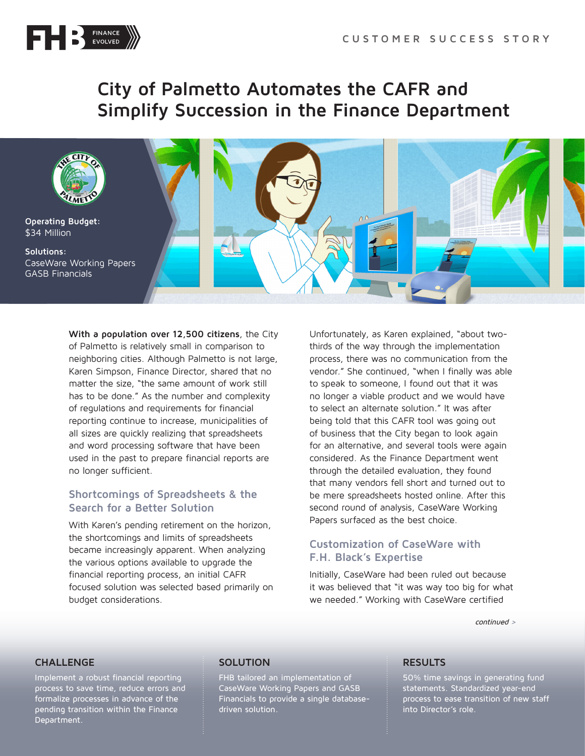

# **City of Palmetto Automates the CAFR and Simplify Succession in the Finance Department**



**With a population over 12,500 citizens**, the City of Palmetto is relatively small in comparison to neighboring cities. Although Palmetto is not large, Karen Simpson, Finance Director, shared that no matter the size, "the same amount of work still has to be done." As the number and complexity of regulations and requirements for financial reporting continue to increase, municipalities of all sizes are quickly realizing that spreadsheets and word processing software that have been used in the past to prepare financial reports are no longer sufficient.

## **Shortcomings of Spreadsheets & the Search for a Better Solution**

With Karen's pending retirement on the horizon, the shortcomings and limits of spreadsheets became increasingly apparent. When analyzing the various options available to upgrade the financial reporting process, an initial CAFR focused solution was selected based primarily on budget considerations.

Unfortunately, as Karen explained, "about twothirds of the way through the implementation process, there was no communication from the vendor." She continued, "when I finally was able to speak to someone, I found out that it was no longer a viable product and we would have to select an alternate solution." It was after being told that this CAFR tool was going out of business that the City began to look again for an alternative, and several tools were again considered. As the Finance Department went through the detailed evaluation, they found that many vendors fell short and turned out to be mere spreadsheets hosted online. After this second round of analysis, CaseWare Working Papers surfaced as the best choice.

## **Customization of CaseWare with F.H. Black's Expertise**

Initially, CaseWare had been ruled out because it was believed that "it was way too big for what we needed." Working with CaseWare certified

continued >

### **CHALLENGE**

Implement a robust financial reporting process to save time, reduce errors and formalize processes in advance of the pending transition within the Finance Department.

### **SOLUTION**

FHB tailored an implementation of CaseWare Working Papers and GASB Financials to provide a single databasedriven solution.

### **RESULTS**

50% time savings in generating fund statements. Standardized year-end process to ease transition of new staff into Director's role.